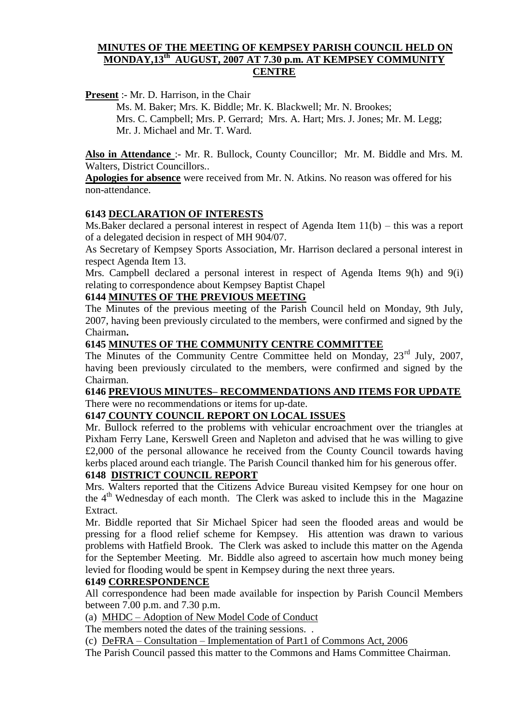### **MINUTES OF THE MEETING OF KEMPSEY PARISH COUNCIL HELD ON MONDAY,13th AUGUST, 2007 AT 7.30 p.m. AT KEMPSEY COMMUNITY CENTRE**

**Present** :- Mr. D. Harrison, in the Chair

Ms. M. Baker; Mrs. K. Biddle; Mr. K. Blackwell; Mr. N. Brookes; Mrs. C. Campbell; Mrs. P. Gerrard; Mrs. A. Hart; Mrs. J. Jones; Mr. M. Legg; Mr. J. Michael and Mr. T. Ward.

**Also in Attendance** :- Mr. R. Bullock, County Councillor; Mr. M. Biddle and Mrs. M. Walters, District Councillors..

**Apologies for absence** were received from Mr. N. Atkins. No reason was offered for his non-attendance.

## **6143 DECLARATION OF INTERESTS**

Ms.Baker declared a personal interest in respect of Agenda Item 11(b) – this was a report of a delegated decision in respect of MH 904/07.

As Secretary of Kempsey Sports Association, Mr. Harrison declared a personal interest in respect Agenda Item 13.

Mrs. Campbell declared a personal interest in respect of Agenda Items 9(h) and 9(i) relating to correspondence about Kempsey Baptist Chapel

#### **6144 MINUTES OF THE PREVIOUS MEETING**

The Minutes of the previous meeting of the Parish Council held on Monday, 9th July, 2007, having been previously circulated to the members, were confirmed and signed by the Chairman**.**

#### **6145 MINUTES OF THE COMMUNITY CENTRE COMMITTEE**

The Minutes of the Community Centre Committee held on Monday, 23<sup>rd</sup> July, 2007, having been previously circulated to the members, were confirmed and signed by the Chairman.

## **6146 PREVIOUS MINUTES– RECOMMENDATIONS AND ITEMS FOR UPDATE** There were no recommendations or items for up-date.

## **6147 COUNTY COUNCIL REPORT ON LOCAL ISSUES**

Mr. Bullock referred to the problems with vehicular encroachment over the triangles at Pixham Ferry Lane, Kerswell Green and Napleton and advised that he was willing to give £2,000 of the personal allowance he received from the County Council towards having kerbs placed around each triangle. The Parish Council thanked him for his generous offer.

### **6148 DISTRICT COUNCIL REPORT**

Mrs. Walters reported that the Citizens Advice Bureau visited Kempsey for one hour on the  $4<sup>th</sup>$  Wednesday of each month. The Clerk was asked to include this in the Magazine Extract.

Mr. Biddle reported that Sir Michael Spicer had seen the flooded areas and would be pressing for a flood relief scheme for Kempsey. His attention was drawn to various problems with Hatfield Brook. The Clerk was asked to include this matter on the Agenda for the September Meeting. Mr. Biddle also agreed to ascertain how much money being levied for flooding would be spent in Kempsey during the next three years.

#### **6149 CORRESPONDENCE**

All correspondence had been made available for inspection by Parish Council Members between 7.00 p.m. and 7.30 p.m.

(a) MHDC – Adoption of New Model Code of Conduct

The members noted the dates of the training sessions...

(c) DeFRA – Consultation – Implementation of Part1 of Commons Act, 2006

The Parish Council passed this matter to the Commons and Hams Committee Chairman.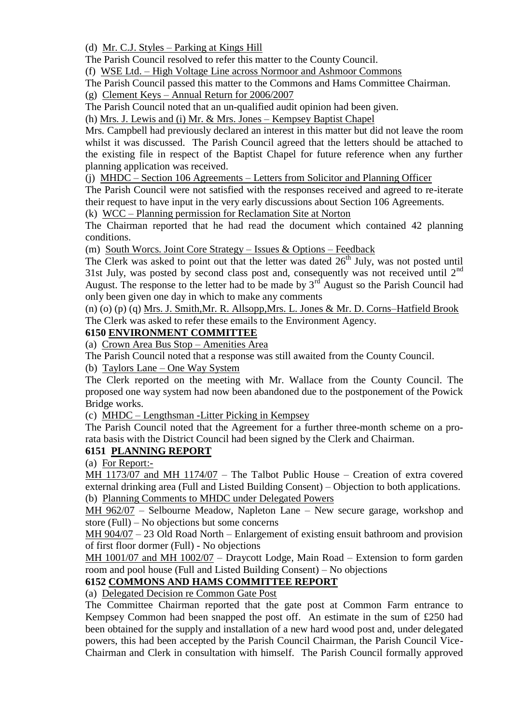(d) Mr. C.J. Styles – Parking at Kings Hill

The Parish Council resolved to refer this matter to the County Council.

(f) WSE Ltd. – High Voltage Line across Normoor and Ashmoor Commons

The Parish Council passed this matter to the Commons and Hams Committee Chairman.

(g) Clement Keys – Annual Return for 2006/2007

The Parish Council noted that an un-qualified audit opinion had been given.

(h) Mrs. J. Lewis and (i) Mr. & Mrs. Jones – Kempsey Baptist Chapel

Mrs. Campbell had previously declared an interest in this matter but did not leave the room whilst it was discussed. The Parish Council agreed that the letters should be attached to the existing file in respect of the Baptist Chapel for future reference when any further planning application was received.

(j) MHDC – Section 106 Agreements – Letters from Solicitor and Planning Officer

The Parish Council were not satisfied with the responses received and agreed to re-iterate their request to have input in the very early discussions about Section 106 Agreements.

(k) WCC – Planning permission for Reclamation Site at Norton

The Chairman reported that he had read the document which contained 42 planning conditions.

(m) South Worcs. Joint Core Strategy – Issues & Options – Feedback

The Clerk was asked to point out that the letter was dated  $26<sup>th</sup>$  July, was not posted until 31st July, was posted by second class post and, consequently was not received until  $2<sup>nd</sup>$ August. The response to the letter had to be made by  $3<sup>rd</sup>$  August so the Parish Council had only been given one day in which to make any comments

(n) (o) (p) (q) Mrs. J. Smith,Mr. R. Allsopp,Mrs. L. Jones & Mr. D. Corns–Hatfield Brook The Clerk was asked to refer these emails to the Environment Agency.

## **6150 ENVIRONMENT COMMITTEE**

(a) Crown Area Bus Stop – Amenities Area

The Parish Council noted that a response was still awaited from the County Council.

(b) Taylors Lane – One Way System

The Clerk reported on the meeting with Mr. Wallace from the County Council. The proposed one way system had now been abandoned due to the postponement of the Powick Bridge works.

(c) MHDC – Lengthsman -Litter Picking in Kempsey

The Parish Council noted that the Agreement for a further three-month scheme on a prorata basis with the District Council had been signed by the Clerk and Chairman.

## **6151 PLANNING REPORT**

(a) For Report:-

MH 1173/07 and MH 1174/07 – The Talbot Public House – Creation of extra covered external drinking area (Full and Listed Building Consent) – Objection to both applications. (b) Planning Comments to MHDC under Delegated Powers

MH 962/07 – Selbourne Meadow, Napleton Lane – New secure garage, workshop and store (Full) – No objections but some concerns

MH 904/07 – 23 Old Road North – Enlargement of existing ensuit bathroom and provision of first floor dormer (Full) - No objections

MH 1001/07 and MH 1002/07 – Draycott Lodge, Main Road – Extension to form garden room and pool house (Full and Listed Building Consent) – No objections

## **6152 COMMONS AND HAMS COMMITTEE REPORT**

(a) Delegated Decision re Common Gate Post

The Committee Chairman reported that the gate post at Common Farm entrance to Kempsey Common had been snapped the post off. An estimate in the sum of £250 had been obtained for the supply and installation of a new hard wood post and, under delegated powers, this had been accepted by the Parish Council Chairman, the Parish Council Vice-Chairman and Clerk in consultation with himself. The Parish Council formally approved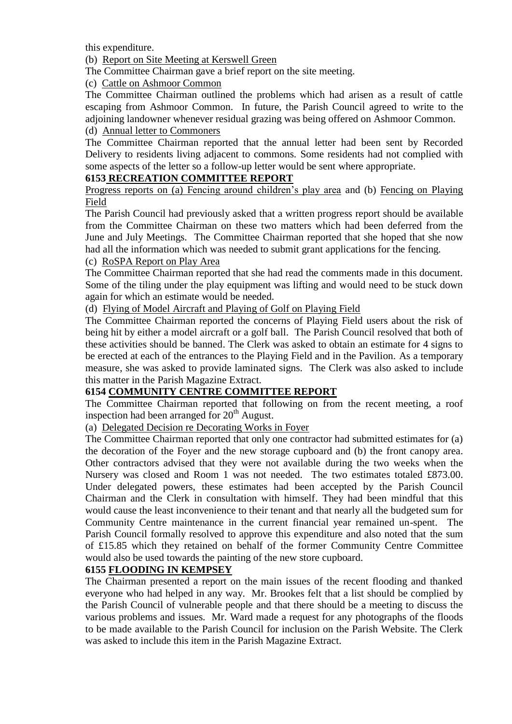this expenditure.

(b) Report on Site Meeting at Kerswell Green

The Committee Chairman gave a brief report on the site meeting.

(c) Cattle on Ashmoor Common

The Committee Chairman outlined the problems which had arisen as a result of cattle escaping from Ashmoor Common. In future, the Parish Council agreed to write to the adjoining landowner whenever residual grazing was being offered on Ashmoor Common. (d) Annual letter to Commoners

The Committee Chairman reported that the annual letter had been sent by Recorded Delivery to residents living adjacent to commons. Some residents had not complied with some aspects of the letter so a follow-up letter would be sent where appropriate.

## **6153 RECREATION COMMITTEE REPORT**

Progress reports on (a) Fencing around children's play area and (b) Fencing on Playing Field

The Parish Council had previously asked that a written progress report should be available from the Committee Chairman on these two matters which had been deferred from the June and July Meetings. The Committee Chairman reported that she hoped that she now had all the information which was needed to submit grant applications for the fencing.

### (c) RoSPA Report on Play Area

The Committee Chairman reported that she had read the comments made in this document. Some of the tiling under the play equipment was lifting and would need to be stuck down again for which an estimate would be needed.

(d) Flying of Model Aircraft and Playing of Golf on Playing Field

The Committee Chairman reported the concerns of Playing Field users about the risk of being hit by either a model aircraft or a golf ball. The Parish Council resolved that both of these activities should be banned. The Clerk was asked to obtain an estimate for 4 signs to be erected at each of the entrances to the Playing Field and in the Pavilion. As a temporary measure, she was asked to provide laminated signs. The Clerk was also asked to include this matter in the Parish Magazine Extract.

## **6154 COMMUNITY CENTRE COMMITTEE REPORT**

The Committee Chairman reported that following on from the recent meeting, a roof inspection had been arranged for  $20<sup>th</sup>$  August.

(a) Delegated Decision re Decorating Works in Foyer

The Committee Chairman reported that only one contractor had submitted estimates for (a) the decoration of the Foyer and the new storage cupboard and (b) the front canopy area. Other contractors advised that they were not available during the two weeks when the Nursery was closed and Room 1 was not needed. The two estimates totaled £873.00. Under delegated powers, these estimates had been accepted by the Parish Council Chairman and the Clerk in consultation with himself. They had been mindful that this would cause the least inconvenience to their tenant and that nearly all the budgeted sum for Community Centre maintenance in the current financial year remained un-spent. The Parish Council formally resolved to approve this expenditure and also noted that the sum of £15.85 which they retained on behalf of the former Community Centre Committee would also be used towards the painting of the new store cupboard.

## **6155 FLOODING IN KEMPSEY**

The Chairman presented a report on the main issues of the recent flooding and thanked everyone who had helped in any way. Mr. Brookes felt that a list should be complied by the Parish Council of vulnerable people and that there should be a meeting to discuss the various problems and issues. Mr. Ward made a request for any photographs of the floods to be made available to the Parish Council for inclusion on the Parish Website. The Clerk was asked to include this item in the Parish Magazine Extract.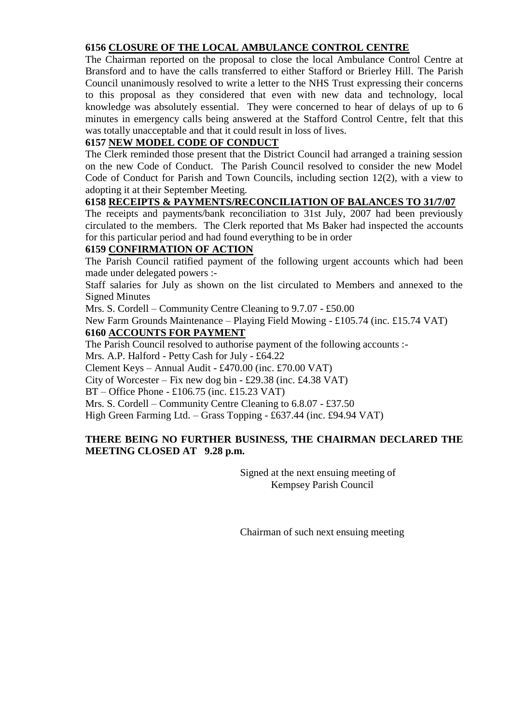## **6156 CLOSURE OF THE LOCAL AMBULANCE CONTROL CENTRE**

The Chairman reported on the proposal to close the local Ambulance Control Centre at Bransford and to have the calls transferred to either Stafford or Brierley Hill. The Parish Council unanimously resolved to write a letter to the NHS Trust expressing their concerns to this proposal as they considered that even with new data and technology, local knowledge was absolutely essential. They were concerned to hear of delays of up to 6 minutes in emergency calls being answered at the Stafford Control Centre, felt that this was totally unacceptable and that it could result in loss of lives.

## **6157 NEW MODEL CODE OF CONDUCT**

The Clerk reminded those present that the District Council had arranged a training session on the new Code of Conduct. The Parish Council resolved to consider the new Model Code of Conduct for Parish and Town Councils, including section 12(2), with a view to adopting it at their September Meeting.

## **6158 RECEIPTS & PAYMENTS/RECONCILIATION OF BALANCES TO 31/7/07**

The receipts and payments/bank reconciliation to 31st July, 2007 had been previously circulated to the members. The Clerk reported that Ms Baker had inspected the accounts for this particular period and had found everything to be in order

## **6159 CONFIRMATION OF ACTION**

The Parish Council ratified payment of the following urgent accounts which had been made under delegated powers :-

Staff salaries for July as shown on the list circulated to Members and annexed to the Signed Minutes

Mrs. S. Cordell – Community Centre Cleaning to 9.7.07 - £50.00

New Farm Grounds Maintenance – Playing Field Mowing - £105.74 (inc. £15.74 VAT) **6160 ACCOUNTS FOR PAYMENT**

The Parish Council resolved to authorise payment of the following accounts :-

Mrs. A.P. Halford - Petty Cash for July - £64.22

Clement Keys – Annual Audit - £470.00 (inc. £70.00 VAT)

City of Worcester – Fix new dog bin - £29.38 (inc. £4.38 VAT)

BT – Office Phone - £106.75 (inc. £15.23 VAT)

Mrs. S. Cordell – Community Centre Cleaning to 6.8.07 - £37.50

High Green Farming Ltd. – Grass Topping - £637.44 (inc. £94.94 VAT)

## **THERE BEING NO FURTHER BUSINESS, THE CHAIRMAN DECLARED THE MEETING CLOSED AT 9.28 p.m.**

Signed at the next ensuing meeting of Kempsey Parish Council

Chairman of such next ensuing meeting